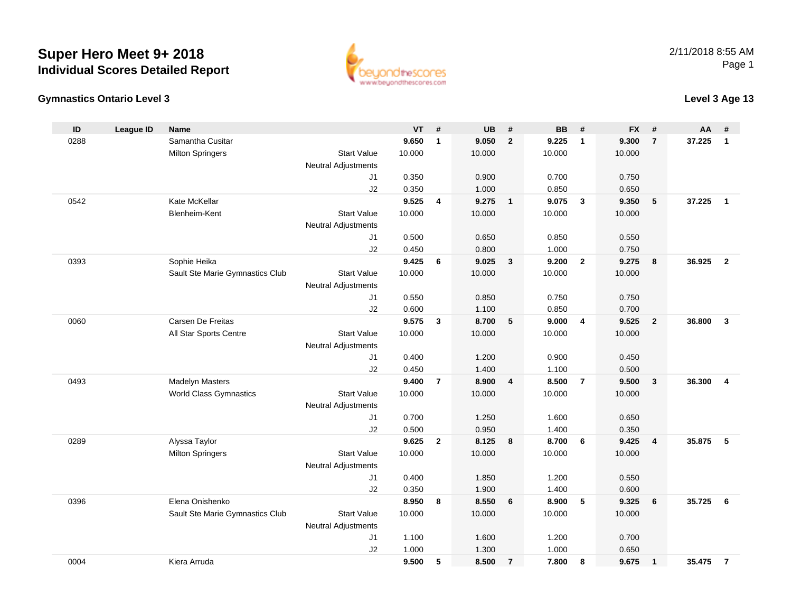



## **Level 3 Age 13**

| ID   | League ID | <b>Name</b>                     |                                              | <b>VT</b> | #              | <b>UB</b> | #                       | <b>BB</b> | #              | <b>FX</b> | #                       | AA     | #                       |
|------|-----------|---------------------------------|----------------------------------------------|-----------|----------------|-----------|-------------------------|-----------|----------------|-----------|-------------------------|--------|-------------------------|
| 0288 |           | Samantha Cusitar                |                                              | 9.650     | $\mathbf{1}$   | 9.050     | $\overline{2}$          | 9.225     | $\overline{1}$ | 9.300     | $\overline{7}$          | 37.225 | $\mathbf{1}$            |
|      |           | <b>Milton Springers</b>         | <b>Start Value</b>                           | 10.000    |                | 10.000    |                         | 10.000    |                | 10.000    |                         |        |                         |
|      |           |                                 | <b>Neutral Adjustments</b>                   |           |                |           |                         |           |                |           |                         |        |                         |
|      |           |                                 | J <sub>1</sub>                               | 0.350     |                | 0.900     |                         | 0.700     |                | 0.750     |                         |        |                         |
|      |           |                                 | J2                                           | 0.350     |                | 1.000     |                         | 0.850     |                | 0.650     |                         |        |                         |
| 0542 |           | Kate McKellar                   |                                              | 9.525     | 4              | 9.275     | $\overline{\mathbf{1}}$ | 9.075     | $\mathbf{3}$   | 9.350     | 5                       | 37.225 | $\overline{1}$          |
|      |           | Blenheim-Kent                   | <b>Start Value</b>                           | 10.000    |                | 10.000    |                         | 10.000    |                | 10.000    |                         |        |                         |
|      |           |                                 | <b>Neutral Adjustments</b>                   |           |                |           |                         |           |                |           |                         |        |                         |
|      |           |                                 | J <sub>1</sub>                               | 0.500     |                | 0.650     |                         | 0.850     |                | 0.550     |                         |        |                         |
|      |           |                                 | J2                                           | 0.450     |                | 0.800     |                         | 1.000     |                | 0.750     |                         |        |                         |
| 0393 |           | Sophie Heika                    |                                              | 9.425     | 6              | 9.025     | $\mathbf{3}$            | 9.200     | $\overline{2}$ | 9.275     | 8                       | 36.925 | $\overline{2}$          |
|      |           | Sault Ste Marie Gymnastics Club | <b>Start Value</b>                           | 10.000    |                | 10.000    |                         | 10.000    |                | 10.000    |                         |        |                         |
|      |           |                                 | <b>Neutral Adjustments</b>                   |           |                |           |                         |           |                |           |                         |        |                         |
|      |           |                                 | J <sub>1</sub>                               | 0.550     |                | 0.850     |                         | 0.750     |                | 0.750     |                         |        |                         |
|      |           |                                 | J2                                           | 0.600     |                | 1.100     |                         | 0.850     |                | 0.700     |                         |        |                         |
| 0060 |           | Carsen De Freitas               |                                              | 9.575     | 3              | 8.700     | 5                       | 9.000     | $\overline{4}$ | 9.525     | $\overline{2}$          | 36.800 | $\mathbf{3}$            |
|      |           | All Star Sports Centre          | <b>Start Value</b>                           | 10.000    |                | 10.000    |                         | 10.000    |                | 10.000    |                         |        |                         |
|      |           |                                 | <b>Neutral Adjustments</b><br>J <sub>1</sub> | 0.400     |                | 1.200     |                         | 0.900     |                | 0.450     |                         |        |                         |
|      |           |                                 | J2                                           | 0.450     |                | 1.400     |                         | 1.100     |                | 0.500     |                         |        |                         |
| 0493 |           | <b>Madelyn Masters</b>          |                                              | 9.400     | $\overline{7}$ | 8.900     | 4                       | 8.500     | $\overline{7}$ | 9.500     | $\mathbf{3}$            | 36.300 | $\overline{\mathbf{4}}$ |
|      |           | <b>World Class Gymnastics</b>   | <b>Start Value</b>                           | 10.000    |                | 10.000    |                         | 10.000    |                | 10.000    |                         |        |                         |
|      |           |                                 | <b>Neutral Adjustments</b>                   |           |                |           |                         |           |                |           |                         |        |                         |
|      |           |                                 | J <sub>1</sub>                               | 0.700     |                | 1.250     |                         | 1.600     |                | 0.650     |                         |        |                         |
|      |           |                                 | J2                                           | 0.500     |                | 0.950     |                         | 1.400     |                | 0.350     |                         |        |                         |
| 0289 |           | Alyssa Taylor                   |                                              | 9.625     | $\mathbf{2}$   | 8.125     | 8                       | 8.700     | 6              | 9.425     | $\overline{\mathbf{4}}$ | 35.875 | 5                       |
|      |           | <b>Milton Springers</b>         | <b>Start Value</b>                           | 10.000    |                | 10.000    |                         | 10.000    |                | 10.000    |                         |        |                         |
|      |           |                                 | <b>Neutral Adjustments</b>                   |           |                |           |                         |           |                |           |                         |        |                         |
|      |           |                                 | J <sub>1</sub>                               | 0.400     |                | 1.850     |                         | 1.200     |                | 0.550     |                         |        |                         |
|      |           |                                 | J2                                           | 0.350     |                | 1.900     |                         | 1.400     |                | 0.600     |                         |        |                         |
| 0396 |           | Elena Onishenko                 |                                              | 8.950     | 8              | 8.550     | 6                       | 8.900     | 5              | 9.325     | 6                       | 35.725 | 6                       |
|      |           | Sault Ste Marie Gymnastics Club | <b>Start Value</b>                           | 10.000    |                | 10.000    |                         | 10.000    |                | 10.000    |                         |        |                         |
|      |           |                                 | <b>Neutral Adjustments</b>                   |           |                |           |                         |           |                |           |                         |        |                         |
|      |           |                                 | J <sub>1</sub>                               | 1.100     |                | 1.600     |                         | 1.200     |                | 0.700     |                         |        |                         |
|      |           |                                 | J2                                           | 1.000     |                | 1.300     |                         | 1.000     |                | 0.650     |                         |        |                         |
| 0004 |           | Kiera Arruda                    |                                              | 9.500     | 5              | 8.500     | $\overline{7}$          | 7.800     | 8              | 9.675     | $\mathbf{1}$            | 35.475 | $\overline{7}$          |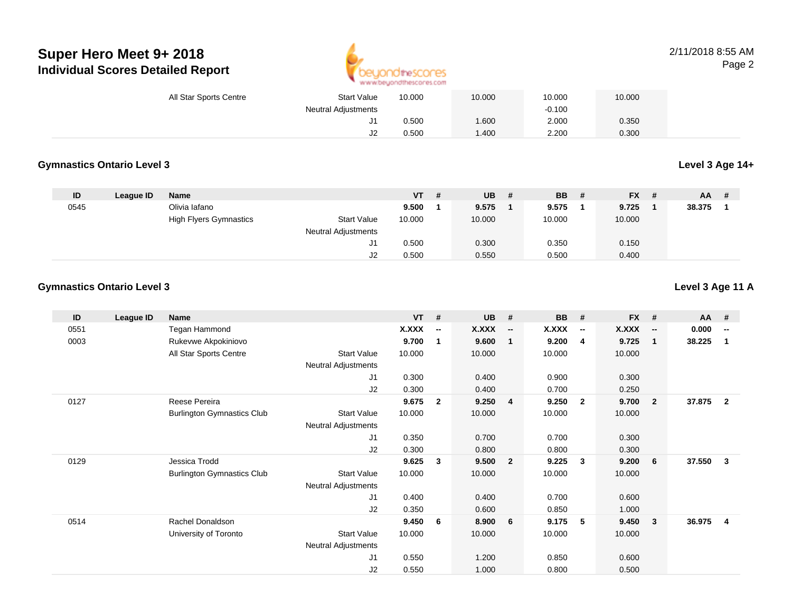

| <b>Start Value</b><br>All Star Sports Centre | 10.000 | 10.000 | 10.000   | 10.000 |  |
|----------------------------------------------|--------|--------|----------|--------|--|
| <b>Neutral Adjustments</b>                   |        |        | $-0.100$ |        |  |
|                                              | 0.500  | .600   | 2.000    | 0.350  |  |
| J2                                           | 0.500  | .400   | 2.200    | 0.300  |  |

#### **Gymnastics Ontario Level 3Level 3 Age 14+**

| ID   | League ID | <b>Name</b>                   |                            | VT.    | # | UB.    | <b>BB</b> | <b>FX</b> | - # | AA     |  |
|------|-----------|-------------------------------|----------------------------|--------|---|--------|-----------|-----------|-----|--------|--|
| 0545 |           | Olivia lafano                 |                            | 9.500  |   | 9.575  | 9.575     | 9.725     |     | 38.375 |  |
|      |           | <b>High Flyers Gymnastics</b> | <b>Start Value</b>         | 10.000 |   | 10.000 | 10.000    | 10.000    |     |        |  |
|      |           |                               | <b>Neutral Adjustments</b> |        |   |        |           |           |     |        |  |
|      |           |                               | ال                         | 0.500  |   | 0.300  | 0.350     | 0.150     |     |        |  |
|      |           |                               | J2                         | 0.500  |   | 0.550  | 0.500     | 0.400     |     |        |  |

### **Gymnastics Ontario Level 3**

| ID   | League ID | <b>Name</b>                       |                            | $VT$ # |                          | <b>UB</b> | #                        | <b>BB</b> | #                        | $FX$ # |                          | AA     | #                        |
|------|-----------|-----------------------------------|----------------------------|--------|--------------------------|-----------|--------------------------|-----------|--------------------------|--------|--------------------------|--------|--------------------------|
| 0551 |           | Tegan Hammond                     |                            | X.XXX  | $\overline{\phantom{a}}$ | X.XXX     | $\overline{\phantom{a}}$ | X.XXX     | $\overline{\phantom{a}}$ | X.XXX  | $\overline{\phantom{a}}$ | 0.000  | $\overline{\phantom{a}}$ |
| 0003 |           | Rukevwe Akpokiniovo               |                            | 9.700  | 1                        | 9.600     | $\mathbf 1$              | 9.200     | 4                        | 9.725  | -1                       | 38.225 | -1                       |
|      |           | All Star Sports Centre            | <b>Start Value</b>         | 10.000 |                          | 10.000    |                          | 10.000    |                          | 10.000 |                          |        |                          |
|      |           |                                   | Neutral Adjustments        |        |                          |           |                          |           |                          |        |                          |        |                          |
|      |           |                                   | J1                         | 0.300  |                          | 0.400     |                          | 0.900     |                          | 0.300  |                          |        |                          |
|      |           |                                   | J2                         | 0.300  |                          | 0.400     |                          | 0.700     |                          | 0.250  |                          |        |                          |
| 0127 |           | Reese Pereira                     |                            | 9.675  | $\overline{2}$           | 9.250     | $\overline{4}$           | 9.250     | $\overline{\mathbf{2}}$  | 9.700  | $\overline{\mathbf{2}}$  | 37.875 | $\overline{2}$           |
|      |           | <b>Burlington Gymnastics Club</b> | <b>Start Value</b>         | 10.000 |                          | 10.000    |                          | 10.000    |                          | 10.000 |                          |        |                          |
|      |           |                                   | Neutral Adjustments        |        |                          |           |                          |           |                          |        |                          |        |                          |
|      |           |                                   | J <sub>1</sub>             | 0.350  |                          | 0.700     |                          | 0.700     |                          | 0.300  |                          |        |                          |
|      |           |                                   | J2                         | 0.300  |                          | 0.800     |                          | 0.800     |                          | 0.300  |                          |        |                          |
| 0129 |           | Jessica Trodd                     |                            | 9.625  | 3                        | 9.500     | $\overline{2}$           | 9.225     | $\mathbf{3}$             | 9.200  | - 6                      | 37.550 | $\overline{\mathbf{3}}$  |
|      |           | <b>Burlington Gymnastics Club</b> | <b>Start Value</b>         | 10.000 |                          | 10.000    |                          | 10.000    |                          | 10.000 |                          |        |                          |
|      |           |                                   | Neutral Adjustments        |        |                          |           |                          |           |                          |        |                          |        |                          |
|      |           |                                   | J <sub>1</sub>             | 0.400  |                          | 0.400     |                          | 0.700     |                          | 0.600  |                          |        |                          |
|      |           |                                   | J2                         | 0.350  |                          | 0.600     |                          | 0.850     |                          | 1.000  |                          |        |                          |
| 0514 |           | Rachel Donaldson                  |                            | 9.450  | 6                        | 8.900     | $6\overline{6}$          | 9.175     | 5                        | 9.450  | $\overline{\mathbf{3}}$  | 36.975 | $\overline{\mathbf{4}}$  |
|      |           | University of Toronto             | <b>Start Value</b>         | 10.000 |                          | 10.000    |                          | 10.000    |                          | 10.000 |                          |        |                          |
|      |           |                                   | <b>Neutral Adjustments</b> |        |                          |           |                          |           |                          |        |                          |        |                          |
|      |           |                                   | J1                         | 0.550  |                          | 1.200     |                          | 0.850     |                          | 0.600  |                          |        |                          |
|      |           |                                   | J2                         | 0.550  |                          | 1.000     |                          | 0.800     |                          | 0.500  |                          |        |                          |

**Level 3 Age 11 A**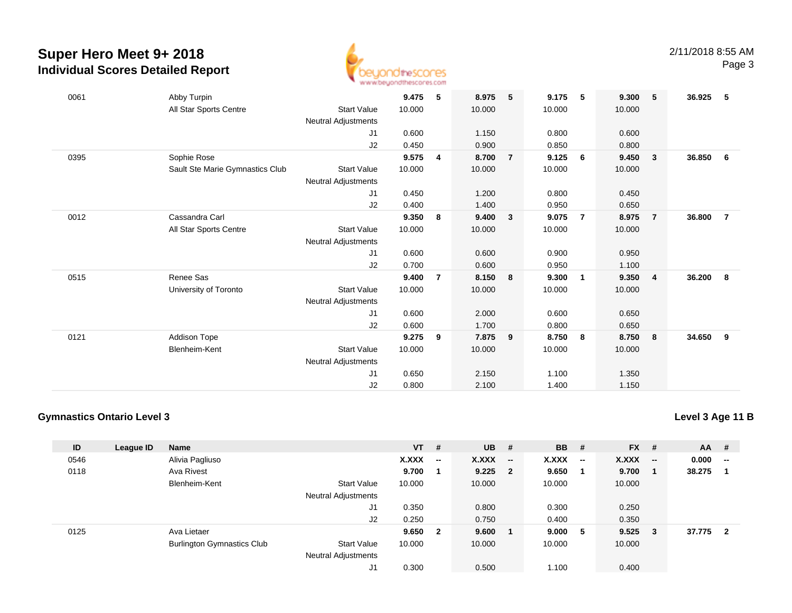

| 0061 | Abby Turpin                     |                            | 9.475  | 5              | 8.975  | 5              | 9.175  | 5                       | 9.300  | 5                       | 36.925 | -5             |
|------|---------------------------------|----------------------------|--------|----------------|--------|----------------|--------|-------------------------|--------|-------------------------|--------|----------------|
|      | All Star Sports Centre          | <b>Start Value</b>         | 10.000 |                | 10.000 |                | 10.000 |                         | 10.000 |                         |        |                |
|      |                                 | <b>Neutral Adjustments</b> |        |                |        |                |        |                         |        |                         |        |                |
|      |                                 | J1                         | 0.600  |                | 1.150  |                | 0.800  |                         | 0.600  |                         |        |                |
|      |                                 | J2                         | 0.450  |                | 0.900  |                | 0.850  |                         | 0.800  |                         |        |                |
| 0395 | Sophie Rose                     |                            | 9.575  | 4              | 8.700  | $\overline{7}$ | 9.125  | 6                       | 9.450  | $\overline{\mathbf{3}}$ | 36.850 | - 6            |
|      | Sault Ste Marie Gymnastics Club | <b>Start Value</b>         | 10.000 |                | 10.000 |                | 10.000 |                         | 10.000 |                         |        |                |
|      |                                 | <b>Neutral Adjustments</b> |        |                |        |                |        |                         |        |                         |        |                |
|      |                                 | J1                         | 0.450  |                | 1.200  |                | 0.800  |                         | 0.450  |                         |        |                |
|      |                                 | J2                         | 0.400  |                | 1.400  |                | 0.950  |                         | 0.650  |                         |        |                |
| 0012 | Cassandra Carl                  |                            | 9.350  | 8              | 9.400  | 3              | 9.075  | $\overline{7}$          | 8.975  | $\overline{7}$          | 36.800 | $\overline{7}$ |
|      | All Star Sports Centre          | <b>Start Value</b>         | 10.000 |                | 10.000 |                | 10.000 |                         | 10.000 |                         |        |                |
|      |                                 | <b>Neutral Adjustments</b> |        |                |        |                |        |                         |        |                         |        |                |
|      |                                 | J1                         | 0.600  |                | 0.600  |                | 0.900  |                         | 0.950  |                         |        |                |
|      |                                 | J2                         | 0.700  |                | 0.600  |                | 0.950  |                         | 1.100  |                         |        |                |
| 0515 | Renee Sas                       |                            | 9.400  | $\overline{7}$ | 8.150  | 8              | 9.300  | $\overline{\mathbf{1}}$ | 9.350  | $\overline{4}$          | 36.200 | 8              |
|      | University of Toronto           | <b>Start Value</b>         | 10.000 |                | 10.000 |                | 10.000 |                         | 10.000 |                         |        |                |
|      |                                 | <b>Neutral Adjustments</b> |        |                |        |                |        |                         |        |                         |        |                |
|      |                                 | J1                         | 0.600  |                | 2.000  |                | 0.600  |                         | 0.650  |                         |        |                |
|      |                                 | J2                         | 0.600  |                | 1.700  |                | 0.800  |                         | 0.650  |                         |        |                |
| 0121 | Addison Tope                    |                            | 9.275  | 9              | 7.875  | 9              | 8.750  | 8                       | 8.750  | 8                       | 34.650 | 9              |
|      | Blenheim-Kent                   | <b>Start Value</b>         | 10.000 |                | 10.000 |                | 10.000 |                         | 10.000 |                         |        |                |
|      |                                 | <b>Neutral Adjustments</b> |        |                |        |                |        |                         |        |                         |        |                |
|      |                                 | J1                         | 0.650  |                | 2.150  |                | 1.100  |                         | 1.350  |                         |        |                |
|      |                                 | J2                         | 0.800  |                | 2.100  |                | 1.400  |                         | 1.150  |                         |        |                |

### **Gymnastics Ontario Level 3**

|  | Level 3 Age 11 B |
|--|------------------|
|--|------------------|

| ID   | League ID | <b>Name</b>                       |                            | $VT$ # |                          | <b>UB</b> | #                        | <b>BB</b> | #                        | <b>FX</b> | #                        | <b>AA</b> | #              |
|------|-----------|-----------------------------------|----------------------------|--------|--------------------------|-----------|--------------------------|-----------|--------------------------|-----------|--------------------------|-----------|----------------|
| 0546 |           | Alivia Pagliuso                   |                            | X.XXX  | $\overline{\phantom{a}}$ | X.XXX     | $\overline{\phantom{a}}$ | X.XXX     | $\overline{\phantom{a}}$ | X.XXX     | $\overline{\phantom{a}}$ | 0.000     | $\mathbf{u}$   |
| 0118 |           | Ava Rivest                        |                            | 9.700  |                          | $9.225$ 2 |                          | 9.650     |                          | 9.700     |                          | 38.275    |                |
|      |           | Blenheim-Kent                     | <b>Start Value</b>         | 10.000 |                          | 10.000    |                          | 10.000    |                          | 10.000    |                          |           |                |
|      |           |                                   | <b>Neutral Adjustments</b> |        |                          |           |                          |           |                          |           |                          |           |                |
|      |           |                                   | J1                         | 0.350  |                          | 0.800     |                          | 0.300     |                          | 0.250     |                          |           |                |
|      |           |                                   | J2                         | 0.250  |                          | 0.750     |                          | 0.400     |                          | 0.350     |                          |           |                |
| 0125 |           | Ava Lietaer                       |                            | 9.650  | $\overline{\mathbf{2}}$  | 9.600     |                          | 9.000     | - 5                      | 9.525     | - 3                      | 37.775    | $\overline{2}$ |
|      |           | <b>Burlington Gymnastics Club</b> | <b>Start Value</b>         | 10.000 |                          | 10.000    |                          | 10.000    |                          | 10.000    |                          |           |                |
|      |           |                                   | <b>Neutral Adjustments</b> |        |                          |           |                          |           |                          |           |                          |           |                |
|      |           |                                   | J1                         | 0.300  |                          | 0.500     |                          | 1.100     |                          | 0.400     |                          |           |                |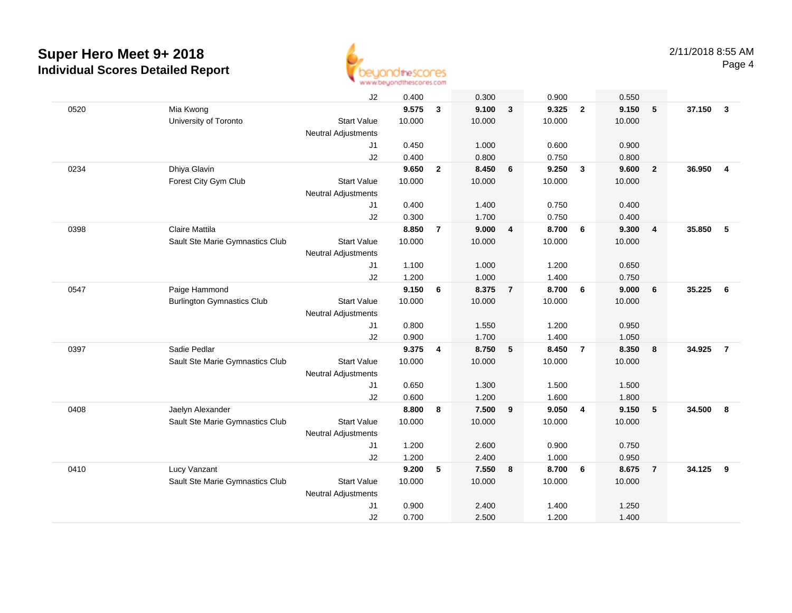

|      |                                   | J2                         | 0.400  |                         | 0.300  |                | 0.900  |                         | 0.550  |                         |        |                  |
|------|-----------------------------------|----------------------------|--------|-------------------------|--------|----------------|--------|-------------------------|--------|-------------------------|--------|------------------|
| 0520 | Mia Kwong                         |                            | 9.575  | 3                       | 9.100  | $\mathbf{3}$   | 9.325  | $\overline{2}$          | 9.150  | 5                       | 37.150 | $\mathbf{3}$     |
|      | University of Toronto             | <b>Start Value</b>         | 10.000 |                         | 10.000 |                | 10.000 |                         | 10.000 |                         |        |                  |
|      |                                   | Neutral Adjustments        |        |                         |        |                |        |                         |        |                         |        |                  |
|      |                                   | J1                         | 0.450  |                         | 1.000  |                | 0.600  |                         | 0.900  |                         |        |                  |
|      |                                   | J2                         | 0.400  |                         | 0.800  |                | 0.750  |                         | 0.800  |                         |        |                  |
| 0234 | Dhiya Glavin                      |                            | 9.650  | $\overline{2}$          | 8.450  | 6              | 9.250  | $\overline{\mathbf{3}}$ | 9.600  | $\overline{2}$          | 36.950 | $\overline{4}$   |
|      | Forest City Gym Club              | <b>Start Value</b>         | 10.000 |                         | 10.000 |                | 10.000 |                         | 10.000 |                         |        |                  |
|      |                                   | Neutral Adjustments        |        |                         |        |                |        |                         |        |                         |        |                  |
|      |                                   | J1                         | 0.400  |                         | 1.400  |                | 0.750  |                         | 0.400  |                         |        |                  |
|      |                                   | J2                         | 0.300  |                         | 1.700  |                | 0.750  |                         | 0.400  |                         |        |                  |
| 0398 | Claire Mattila                    |                            | 8.850  | $\overline{7}$          | 9.000  | 4              | 8.700  | 6                       | 9.300  | $\overline{\mathbf{4}}$ | 35.850 | 5                |
|      | Sault Ste Marie Gymnastics Club   | <b>Start Value</b>         | 10.000 |                         | 10.000 |                | 10.000 |                         | 10.000 |                         |        |                  |
|      |                                   | <b>Neutral Adjustments</b> |        |                         |        |                |        |                         |        |                         |        |                  |
|      |                                   | J1                         | 1.100  |                         | 1.000  |                | 1.200  |                         | 0.650  |                         |        |                  |
|      |                                   | J2                         | 1.200  |                         | 1.000  |                | 1.400  |                         | 0.750  |                         |        |                  |
| 0547 | Paige Hammond                     |                            | 9.150  | 6                       | 8.375  | $\overline{7}$ | 8.700  | $6\phantom{1}6$         | 9.000  | 6                       | 35.225 | 6                |
|      | <b>Burlington Gymnastics Club</b> | <b>Start Value</b>         | 10.000 |                         | 10.000 |                | 10.000 |                         | 10.000 |                         |        |                  |
|      |                                   | Neutral Adjustments        |        |                         |        |                |        |                         |        |                         |        |                  |
|      |                                   | J <sub>1</sub>             | 0.800  |                         | 1.550  |                | 1.200  |                         | 0.950  |                         |        |                  |
|      |                                   | J2                         | 0.900  |                         | 1.700  |                | 1.400  |                         | 1.050  |                         |        |                  |
| 0397 | Sadie Pedlar                      |                            | 9.375  | $\overline{\mathbf{4}}$ | 8.750  | 5              | 8.450  | $\overline{7}$          | 8.350  | 8                       | 34.925 | $\overline{7}$   |
|      | Sault Ste Marie Gymnastics Club   | <b>Start Value</b>         | 10.000 |                         | 10.000 |                | 10.000 |                         | 10.000 |                         |        |                  |
|      |                                   | Neutral Adjustments        |        |                         |        |                |        |                         |        |                         |        |                  |
|      |                                   | J1                         | 0.650  |                         | 1.300  |                | 1.500  |                         | 1.500  |                         |        |                  |
|      |                                   | J2                         | 0.600  |                         | 1.200  |                | 1.600  |                         | 1.800  |                         |        |                  |
| 0408 | Jaelyn Alexander                  |                            | 8.800  | 8                       | 7.500  | 9              | 9.050  | $\overline{4}$          | 9.150  | 5                       | 34.500 | $\boldsymbol{8}$ |
|      | Sault Ste Marie Gymnastics Club   | <b>Start Value</b>         | 10.000 |                         | 10.000 |                | 10.000 |                         | 10.000 |                         |        |                  |
|      |                                   | Neutral Adjustments        |        |                         |        |                |        |                         |        |                         |        |                  |
|      |                                   | J1                         | 1.200  |                         | 2.600  |                | 0.900  |                         | 0.750  |                         |        |                  |
|      |                                   | J2                         | 1.200  |                         | 2.400  |                | 1.000  |                         | 0.950  |                         |        |                  |
| 0410 | Lucy Vanzant                      |                            | 9.200  | 5                       | 7.550  | 8              | 8.700  | $6\phantom{.}6$         | 8.675  | $\overline{7}$          | 34.125 | 9                |
|      | Sault Ste Marie Gymnastics Club   | <b>Start Value</b>         | 10.000 |                         | 10.000 |                | 10.000 |                         | 10.000 |                         |        |                  |
|      |                                   | Neutral Adjustments        |        |                         |        |                |        |                         |        |                         |        |                  |
|      |                                   | J1                         | 0.900  |                         | 2.400  |                | 1.400  |                         | 1.250  |                         |        |                  |
|      |                                   | J2                         | 0.700  |                         | 2.500  |                | 1.200  |                         | 1.400  |                         |        |                  |
|      |                                   |                            |        |                         |        |                |        |                         |        |                         |        |                  |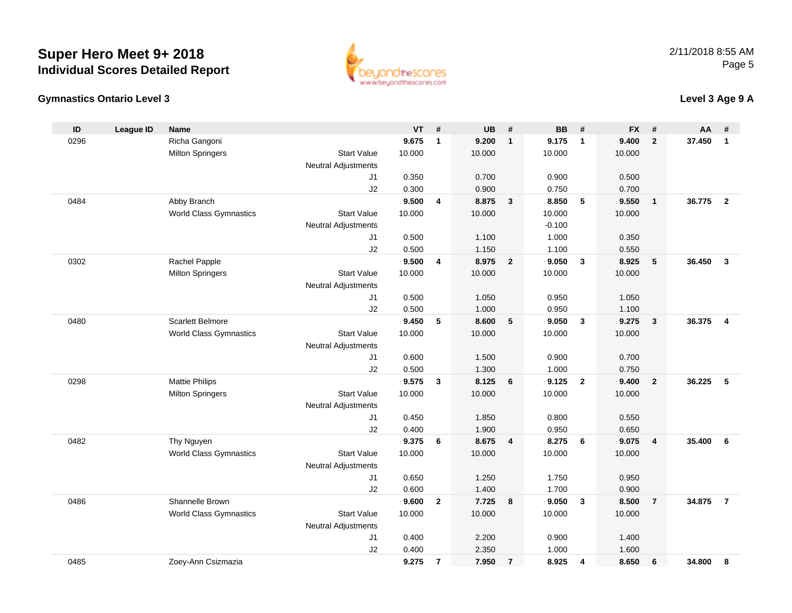



## **Level 3 Age 9 A**

| ID   | <b>League ID</b> | <b>Name</b>                   |                            | <b>VT</b>      | #              | <b>UB</b>      | #                       | <b>BB</b>      | #               | <b>FX</b>      | #                       | AA     | #                       |
|------|------------------|-------------------------------|----------------------------|----------------|----------------|----------------|-------------------------|----------------|-----------------|----------------|-------------------------|--------|-------------------------|
| 0296 |                  | Richa Gangoni                 |                            | 9.675          | $\mathbf{1}$   | 9.200          | $\overline{1}$          | 9.175          | $\overline{1}$  | 9.400          | $\overline{2}$          | 37.450 | $\mathbf{1}$            |
|      |                  | <b>Milton Springers</b>       | <b>Start Value</b>         | 10.000         |                | 10.000         |                         | 10.000         |                 | 10.000         |                         |        |                         |
|      |                  |                               | <b>Neutral Adjustments</b> |                |                |                |                         |                |                 |                |                         |        |                         |
|      |                  |                               | J1                         | 0.350          |                | 0.700          |                         | 0.900          |                 | 0.500          |                         |        |                         |
|      |                  |                               | J2                         | 0.300          |                | 0.900          |                         | 0.750          |                 | 0.700          |                         |        |                         |
| 0484 |                  | Abby Branch                   |                            | 9.500          | 4              | 8.875          | $\mathbf{3}$            | 8.850          | $5\phantom{.0}$ | 9.550          | $\mathbf{1}$            | 36.775 | $\overline{2}$          |
|      |                  | <b>World Class Gymnastics</b> | <b>Start Value</b>         | 10.000         |                | 10.000         |                         | 10.000         |                 | 10.000         |                         |        |                         |
|      |                  |                               | <b>Neutral Adjustments</b> |                |                |                |                         | $-0.100$       |                 |                |                         |        |                         |
|      |                  |                               | J1                         | 0.500          |                | 1.100          |                         | 1.000          |                 | 0.350          |                         |        |                         |
|      |                  |                               | J2                         | 0.500          |                | 1.150          |                         | 1.100          |                 | 0.550          |                         |        |                         |
| 0302 |                  | Rachel Papple                 |                            | 9.500          | 4              | 8.975          | $\overline{\mathbf{2}}$ | 9.050          | $\mathbf{3}$    | 8.925          | 5                       | 36.450 | $\mathbf{3}$            |
|      |                  | <b>Milton Springers</b>       | <b>Start Value</b>         | 10.000         |                | 10.000         |                         | 10.000         |                 | 10.000         |                         |        |                         |
|      |                  |                               | <b>Neutral Adjustments</b> |                |                |                |                         |                |                 |                |                         |        |                         |
|      |                  |                               | J1                         | 0.500          |                | 1.050          |                         | 0.950          |                 | 1.050          |                         |        |                         |
|      |                  |                               | J2                         | 0.500          |                | 1.000          |                         | 0.950          |                 | 1.100          |                         |        |                         |
| 0480 |                  | Scarlett Belmore              |                            | 9.450          | 5              | 8.600          | 5                       | 9.050          | $\mathbf{3}$    | 9.275          | $\mathbf{3}$            | 36.375 | $\overline{\mathbf{4}}$ |
|      |                  | <b>World Class Gymnastics</b> | <b>Start Value</b>         | 10.000         |                | 10.000         |                         | 10.000         |                 | 10.000         |                         |        |                         |
|      |                  |                               | <b>Neutral Adjustments</b> |                |                |                |                         |                |                 |                |                         |        |                         |
|      |                  |                               | J1                         | 0.600          |                | 1.500          |                         | 0.900          |                 | 0.700          |                         |        |                         |
|      |                  |                               | J2                         | 0.500          |                | 1.300          |                         | 1.000          |                 | 0.750          |                         |        |                         |
| 0298 |                  | <b>Mattie Philips</b>         |                            | 9.575          | 3              | 8.125          | 6                       | 9.125          | $\overline{2}$  | 9.400          | $\overline{2}$          | 36.225 | 5                       |
|      |                  | <b>Milton Springers</b>       | <b>Start Value</b>         | 10.000         |                | 10.000         |                         | 10.000         |                 | 10.000         |                         |        |                         |
|      |                  |                               | <b>Neutral Adjustments</b> |                |                |                |                         |                |                 |                |                         |        |                         |
|      |                  |                               | J1<br>J2                   | 0.450<br>0.400 |                | 1.850<br>1.900 |                         | 0.800<br>0.950 |                 | 0.550<br>0.650 |                         |        |                         |
| 0482 |                  | Thy Nguyen                    |                            | 9.375          | 6              | 8.675          | $\overline{4}$          | 8.275          | 6               | 9.075          | $\overline{\mathbf{4}}$ | 35.400 | 6                       |
|      |                  | <b>World Class Gymnastics</b> | <b>Start Value</b>         | 10.000         |                | 10.000         |                         | 10.000         |                 | 10.000         |                         |        |                         |
|      |                  |                               | <b>Neutral Adjustments</b> |                |                |                |                         |                |                 |                |                         |        |                         |
|      |                  |                               | J1                         | 0.650          |                | 1.250          |                         | 1.750          |                 | 0.950          |                         |        |                         |
|      |                  |                               | J2                         | 0.600          |                | 1.400          |                         | 1.700          |                 | 0.900          |                         |        |                         |
| 0486 |                  | Shannelle Brown               |                            | 9.600          | $\mathbf{2}$   | 7.725          | 8                       | 9.050          | $\mathbf{3}$    | 8.500          | $\overline{7}$          | 34.875 | $\overline{7}$          |
|      |                  | World Class Gymnastics        | <b>Start Value</b>         | 10.000         |                | 10.000         |                         | 10.000         |                 | 10.000         |                         |        |                         |
|      |                  |                               | <b>Neutral Adjustments</b> |                |                |                |                         |                |                 |                |                         |        |                         |
|      |                  |                               | J1                         | 0.400          |                | 2.200          |                         | 0.900          |                 | 1.400          |                         |        |                         |
|      |                  |                               | J2                         | 0.400          |                | 2.350          |                         | 1.000          |                 | 1.600          |                         |        |                         |
| 0485 |                  | Zoey-Ann Csizmazia            |                            | 9.275          | $\overline{7}$ | 7.950          | $\overline{7}$          | 8.925          | 4               | 8.650          | 6                       | 34.800 | 8                       |
|      |                  |                               |                            |                |                |                |                         |                |                 |                |                         |        |                         |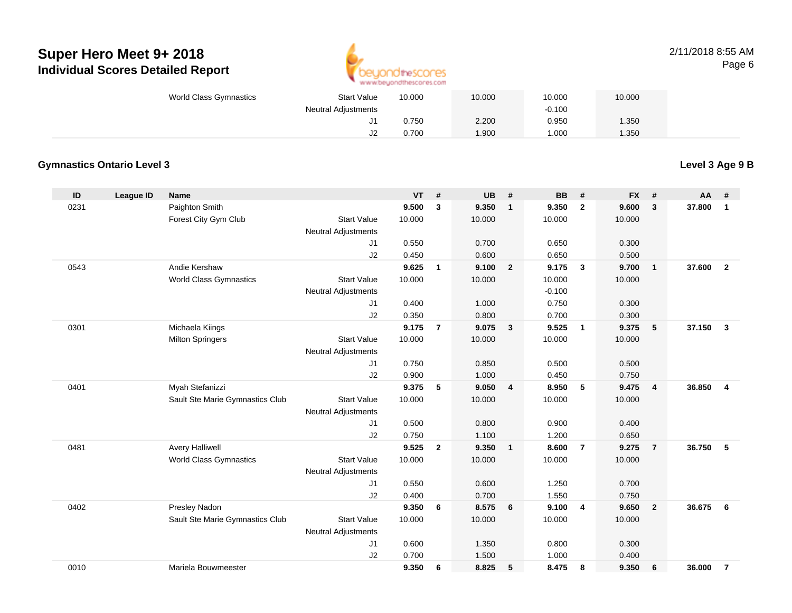

#### 2/11/2018 8:55 AMPage 6

| World Class Gymnastics<br><b>Start Value</b> |    | 10.000 | 10.000 | 10.000   | 10.000 |  |
|----------------------------------------------|----|--------|--------|----------|--------|--|
| <b>Neutral Adjustments</b>                   |    |        |        | $-0.100$ |        |  |
|                                              |    | 0.750  | 2.200  | 0.950    | 1.350  |  |
|                                              | JZ | 0.700  | 1.900  | 1.000    | 1.350  |  |

### **Gymnastics Ontario Level 3**

**Level 3 Age 9 B**

| ID   | League ID | <b>Name</b>                     |                            | <b>VT</b> | #              | <b>UB</b> | #                       | <b>BB</b> | #              | <b>FX</b> | #              | AA     | #                       |
|------|-----------|---------------------------------|----------------------------|-----------|----------------|-----------|-------------------------|-----------|----------------|-----------|----------------|--------|-------------------------|
| 0231 |           | Paighton Smith                  |                            | 9.500     | 3              | 9.350     | $\mathbf{1}$            | 9.350     | $\overline{2}$ | 9.600     | 3              | 37.800 | 1                       |
|      |           | Forest City Gym Club            | <b>Start Value</b>         | 10.000    |                | 10.000    |                         | 10.000    |                | 10.000    |                |        |                         |
|      |           |                                 | <b>Neutral Adjustments</b> |           |                |           |                         |           |                |           |                |        |                         |
|      |           |                                 | J1                         | 0.550     |                | 0.700     |                         | 0.650     |                | 0.300     |                |        |                         |
|      |           |                                 | J2                         | 0.450     |                | 0.600     |                         | 0.650     |                | 0.500     |                |        |                         |
| 0543 |           | Andie Kershaw                   |                            | 9.625     | $\mathbf{1}$   | 9.100     | $\overline{2}$          | 9.175     | $\mathbf{3}$   | 9.700     | $\mathbf{1}$   | 37.600 | $\overline{2}$          |
|      |           | World Class Gymnastics          | <b>Start Value</b>         | 10.000    |                | 10.000    |                         | 10.000    |                | 10.000    |                |        |                         |
|      |           |                                 | <b>Neutral Adjustments</b> |           |                |           |                         | $-0.100$  |                |           |                |        |                         |
|      |           |                                 | J1                         | 0.400     |                | 1.000     |                         | 0.750     |                | 0.300     |                |        |                         |
|      |           |                                 | J2                         | 0.350     |                | 0.800     |                         | 0.700     |                | 0.300     |                |        |                         |
| 0301 |           | Michaela Kiings                 |                            | 9.175     | $\overline{7}$ | 9.075     | $\overline{\mathbf{3}}$ | 9.525     | $\overline{1}$ | 9.375     | 5              | 37.150 | $\mathbf{3}$            |
|      |           | <b>Milton Springers</b>         | <b>Start Value</b>         | 10.000    |                | 10.000    |                         | 10.000    |                | 10.000    |                |        |                         |
|      |           |                                 | Neutral Adjustments        |           |                |           |                         |           |                |           |                |        |                         |
|      |           |                                 | J1                         | 0.750     |                | 0.850     |                         | 0.500     |                | 0.500     |                |        |                         |
|      |           |                                 | J2                         | 0.900     |                | 1.000     |                         | 0.450     |                | 0.750     |                |        |                         |
| 0401 |           | Myah Stefanizzi                 |                            | 9.375     | 5              | 9.050     | $\overline{4}$          | 8.950     | 5              | 9.475     | $\overline{4}$ | 36.850 | $\overline{\mathbf{4}}$ |
|      |           | Sault Ste Marie Gymnastics Club | <b>Start Value</b>         | 10.000    |                | 10.000    |                         | 10.000    |                | 10.000    |                |        |                         |
|      |           |                                 | <b>Neutral Adjustments</b> |           |                |           |                         |           |                |           |                |        |                         |
|      |           |                                 | J1                         | 0.500     |                | 0.800     |                         | 0.900     |                | 0.400     |                |        |                         |
|      |           |                                 | J2                         | 0.750     |                | 1.100     |                         | 1.200     |                | 0.650     |                |        |                         |
| 0481 |           | <b>Avery Halliwell</b>          |                            | 9.525     | $\overline{2}$ | 9.350     | $\overline{1}$          | 8.600     | $\overline{7}$ | 9.275     | $\overline{7}$ | 36.750 | 5                       |
|      |           | <b>World Class Gymnastics</b>   | <b>Start Value</b>         | 10.000    |                | 10.000    |                         | 10.000    |                | 10.000    |                |        |                         |
|      |           |                                 | <b>Neutral Adjustments</b> |           |                |           |                         |           |                |           |                |        |                         |
|      |           |                                 | J1                         | 0.550     |                | 0.600     |                         | 1.250     |                | 0.700     |                |        |                         |
|      |           |                                 | J2                         | 0.400     |                | 0.700     |                         | 1.550     |                | 0.750     |                |        |                         |
| 0402 |           | Presley Nadon                   |                            | 9.350     | 6              | 8.575     | 6                       | 9.100     | $\overline{4}$ | 9.650     | $\overline{2}$ | 36.675 | 6                       |
|      |           | Sault Ste Marie Gymnastics Club | <b>Start Value</b>         | 10.000    |                | 10.000    |                         | 10.000    |                | 10.000    |                |        |                         |
|      |           |                                 | <b>Neutral Adjustments</b> |           |                |           |                         |           |                |           |                |        |                         |
|      |           |                                 | J1                         | 0.600     |                | 1.350     |                         | 0.800     |                | 0.300     |                |        |                         |
|      |           |                                 | J2                         | 0.700     |                | 1.500     |                         | 1.000     |                | 0.400     |                |        |                         |
| 0010 |           | Mariela Bouwmeester             |                            | 9.350     | 6              | 8.825     | 5                       | 8.475     | 8              | 9.350     | 6              | 36.000 | $\overline{7}$          |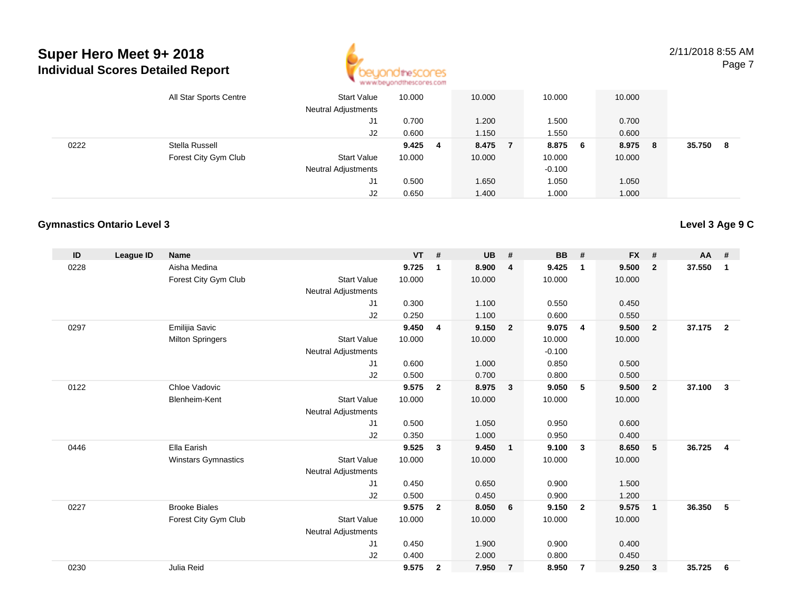

2/11/2018 8:55 AMPage 7

|      | All Star Sports Centre | <b>Start Value</b><br><b>Neutral Adjustments</b> | 10.000 |    | 10.000  | 10.000   |     | 10.000 |    |        |    |
|------|------------------------|--------------------------------------------------|--------|----|---------|----------|-----|--------|----|--------|----|
|      |                        | J1                                               | 0.700  |    | 1.200   | 1.500    |     | 0.700  |    |        |    |
|      |                        | J2                                               | 0.600  |    | 1.150   | 1.550    |     | 0.600  |    |        |    |
| 0222 | Stella Russell         |                                                  | 9.425  | -4 | 8.475 7 | 8.875    | - 6 | 8.975  | -8 | 35.750 | -8 |
|      | Forest City Gym Club   | <b>Start Value</b>                               | 10.000 |    | 10.000  | 10.000   |     | 10.000 |    |        |    |
|      |                        | <b>Neutral Adjustments</b>                       |        |    |         | $-0.100$ |     |        |    |        |    |
|      |                        | J1                                               | 0.500  |    | 1.650   | 1.050    |     | 1.050  |    |        |    |
|      |                        | J2                                               | 0.650  |    | 1.400   | 1.000    |     | 1.000  |    |        |    |

#### **Gymnastics Ontario Level 3**

| ID   | League ID | <b>Name</b>                |                            | <b>VT</b> | #              | <b>UB</b> | $\#$                    | <b>BB</b> | #              | <b>FX</b> | #              | $AA$ # |                |
|------|-----------|----------------------------|----------------------------|-----------|----------------|-----------|-------------------------|-----------|----------------|-----------|----------------|--------|----------------|
| 0228 |           | Aisha Medina               |                            | 9.725     | 1              | 8.900     | $\overline{4}$          | 9.425     | $\mathbf 1$    | 9.500     | $\overline{2}$ | 37.550 | 1              |
|      |           | Forest City Gym Club       | <b>Start Value</b>         | 10.000    |                | 10.000    |                         | 10.000    |                | 10.000    |                |        |                |
|      |           |                            | <b>Neutral Adjustments</b> |           |                |           |                         |           |                |           |                |        |                |
|      |           |                            | J1                         | 0.300     |                | 1.100     |                         | 0.550     |                | 0.450     |                |        |                |
|      |           |                            | J2                         | 0.250     |                | 1.100     |                         | 0.600     |                | 0.550     |                |        |                |
| 0297 |           | Emilijia Savic             |                            | 9.450     | $\overline{4}$ | 9.150     | $\overline{\mathbf{2}}$ | 9.075     | $\overline{4}$ | 9.500     | $\overline{2}$ | 37.175 | $\overline{2}$ |
|      |           | <b>Milton Springers</b>    | <b>Start Value</b>         | 10.000    |                | 10.000    |                         | 10.000    |                | 10.000    |                |        |                |
|      |           |                            | <b>Neutral Adjustments</b> |           |                |           |                         | $-0.100$  |                |           |                |        |                |
|      |           |                            | J1                         | 0.600     |                | 1.000     |                         | 0.850     |                | 0.500     |                |        |                |
|      |           |                            | J2                         | 0.500     |                | 0.700     |                         | 0.800     |                | 0.500     |                |        |                |
| 0122 |           | Chloe Vadovic              |                            | 9.575     | $\overline{2}$ | 8.975     | $\overline{\mathbf{3}}$ | 9.050     | 5              | 9.500     | $\overline{2}$ | 37.100 | $\mathbf{3}$   |
|      |           | <b>Blenheim-Kent</b>       | <b>Start Value</b>         | 10.000    |                | 10.000    |                         | 10.000    |                | 10.000    |                |        |                |
|      |           |                            | <b>Neutral Adjustments</b> |           |                |           |                         |           |                |           |                |        |                |
|      |           |                            | J <sub>1</sub>             | 0.500     |                | 1.050     |                         | 0.950     |                | 0.600     |                |        |                |
|      |           |                            | J2                         | 0.350     |                | 1.000     |                         | 0.950     |                | 0.400     |                |        |                |
| 0446 |           | Ella Earish                |                            | 9.525     | 3              | 9.450     | $\overline{1}$          | 9.100     | -3             | 8.650     | 5              | 36.725 | $\overline{4}$ |
|      |           | <b>Winstars Gymnastics</b> | <b>Start Value</b>         | 10.000    |                | 10.000    |                         | 10.000    |                | 10.000    |                |        |                |
|      |           |                            | <b>Neutral Adjustments</b> |           |                |           |                         |           |                |           |                |        |                |
|      |           |                            | J1                         | 0.450     |                | 0.650     |                         | 0.900     |                | 1.500     |                |        |                |
|      |           |                            | J2                         | 0.500     |                | 0.450     |                         | 0.900     |                | 1.200     |                |        |                |
| 0227 |           | <b>Brooke Biales</b>       |                            | 9.575     | $\overline{2}$ | 8.050     | 6                       | 9.150     | $\overline{2}$ | 9.575     | $\overline{1}$ | 36.350 | 5              |
|      |           | Forest City Gym Club       | <b>Start Value</b>         | 10.000    |                | 10.000    |                         | 10.000    |                | 10.000    |                |        |                |
|      |           |                            | <b>Neutral Adjustments</b> |           |                |           |                         |           |                |           |                |        |                |
|      |           |                            | J <sub>1</sub>             | 0.450     |                | 1.900     |                         | 0.900     |                | 0.400     |                |        |                |
|      |           |                            | J2                         | 0.400     |                | 2.000     |                         | 0.800     |                | 0.450     |                |        |                |
| 0230 |           | Julia Reid                 |                            | 9.575     | $\mathbf{2}$   | 7.950     | $\overline{7}$          | 8.950     | -7             | 9.250     | 3              | 35.725 | 6              |
|      |           |                            |                            |           |                |           |                         |           |                |           |                |        |                |

### **Level 3 Age 9 C**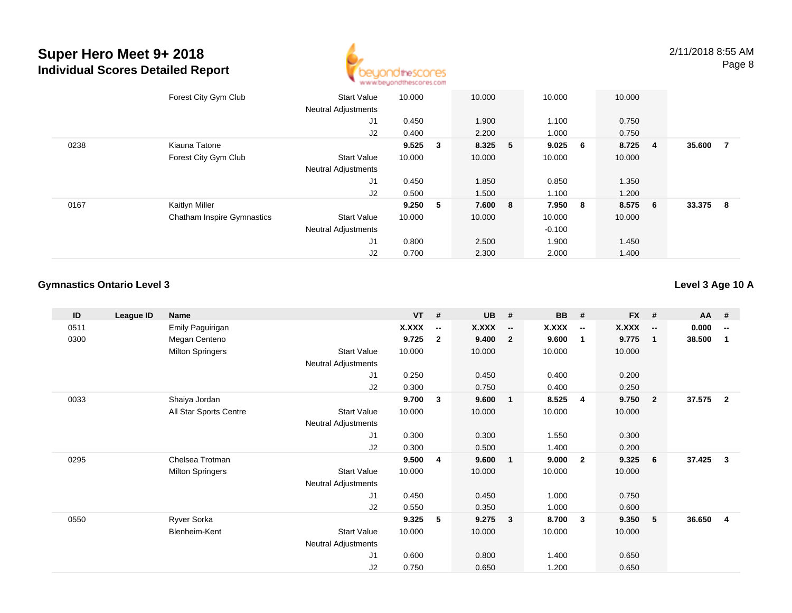

2/11/2018 8:55 AMPage 8

|      | Forest City Gym Club              | <b>Start Value</b><br><b>Neutral Adjustments</b> | 10.000  |     | 10.000  |                         | 10.000   |             | 10.000 |                |        |     |
|------|-----------------------------------|--------------------------------------------------|---------|-----|---------|-------------------------|----------|-------------|--------|----------------|--------|-----|
|      |                                   | J <sub>1</sub>                                   | 0.450   |     | 1.900   |                         | 1.100    |             | 0.750  |                |        |     |
|      |                                   | J2                                               | 0.400   |     | 2.200   |                         | 1.000    |             | 0.750  |                |        |     |
| 0238 | Kiauna Tatone                     |                                                  | 9.525 3 |     | 8.325 5 |                         | 9.025    | $6^{\circ}$ | 8.725  | $\overline{4}$ | 35.600 | - 7 |
|      | Forest City Gym Club              | <b>Start Value</b>                               | 10.000  |     | 10.000  |                         | 10.000   |             | 10.000 |                |        |     |
|      |                                   | <b>Neutral Adjustments</b>                       |         |     |         |                         |          |             |        |                |        |     |
|      |                                   | J1                                               | 0.450   |     | 1.850   |                         | 0.850    |             | 1.350  |                |        |     |
|      |                                   | J2                                               | 0.500   |     | 1.500   |                         | 1.100    |             | 1.200  |                |        |     |
| 0167 | Kaitlyn Miller                    |                                                  | 9.250   | - 5 | 7.600   | $\overline{\mathbf{8}}$ | 7.950 8  |             | 8.575  | - 6            | 33.375 | - 8 |
|      | <b>Chatham Inspire Gymnastics</b> | <b>Start Value</b>                               | 10.000  |     | 10.000  |                         | 10.000   |             | 10.000 |                |        |     |
|      |                                   | <b>Neutral Adjustments</b>                       |         |     |         |                         | $-0.100$ |             |        |                |        |     |
|      |                                   | J <sub>1</sub>                                   | 0.800   |     | 2.500   |                         | 1.900    |             | 1.450  |                |        |     |
|      |                                   | J2                                               | 0.700   |     | 2.300   |                         | 2.000    |             | 1.400  |                |        |     |

### **Gymnastics Ontario Level 3**

**Level 3 Age 10 A**

| ID   | League ID | <b>Name</b>             |                            | $VT$ # |                          | <b>UB</b>    | #                        | <b>BB</b>    | #                        | <b>FX</b> | #                        | <b>AA</b> | #                        |
|------|-----------|-------------------------|----------------------------|--------|--------------------------|--------------|--------------------------|--------------|--------------------------|-----------|--------------------------|-----------|--------------------------|
| 0511 |           | Emily Paguirigan        |                            | X.XXX  | $\overline{\phantom{a}}$ | <b>X.XXX</b> | $\overline{\phantom{a}}$ | <b>X.XXX</b> | $\overline{\phantom{a}}$ | X.XXX     | $\overline{\phantom{a}}$ | 0.000     | $\overline{\phantom{a}}$ |
| 0300 |           | Megan Centeno           |                            | 9.725  | $\overline{2}$           | 9.400        | $\overline{2}$           | 9.600        | $\mathbf{1}$             | 9.775     | $\overline{\mathbf{1}}$  | 38.500    | -1                       |
|      |           | <b>Milton Springers</b> | <b>Start Value</b>         | 10.000 |                          | 10.000       |                          | 10.000       |                          | 10.000    |                          |           |                          |
|      |           |                         | Neutral Adjustments        |        |                          |              |                          |              |                          |           |                          |           |                          |
|      |           |                         | J1                         | 0.250  |                          | 0.450        |                          | 0.400        |                          | 0.200     |                          |           |                          |
|      |           |                         | J2                         | 0.300  |                          | 0.750        |                          | 0.400        |                          | 0.250     |                          |           |                          |
| 0033 |           | Shaiya Jordan           |                            | 9.700  | $\mathbf{3}$             | 9.600        | $\mathbf{1}$             | 8.525        | $\overline{4}$           | 9.750     | $\overline{\mathbf{2}}$  | 37.575    | $\overline{2}$           |
|      |           | All Star Sports Centre  | <b>Start Value</b>         | 10.000 |                          | 10.000       |                          | 10.000       |                          | 10.000    |                          |           |                          |
|      |           |                         | <b>Neutral Adjustments</b> |        |                          |              |                          |              |                          |           |                          |           |                          |
|      |           |                         | J1                         | 0.300  |                          | 0.300        |                          | 1.550        |                          | 0.300     |                          |           |                          |
|      |           |                         | J2                         | 0.300  |                          | 0.500        |                          | 1.400        |                          | 0.200     |                          |           |                          |
| 0295 |           | Chelsea Trotman         |                            | 9.500  | 4                        | 9.600        | $\overline{1}$           | 9.000        | $\overline{2}$           | 9.325     | 6                        | 37.425    | 3                        |
|      |           | <b>Milton Springers</b> | <b>Start Value</b>         | 10.000 |                          | 10.000       |                          | 10.000       |                          | 10.000    |                          |           |                          |
|      |           |                         | Neutral Adjustments        |        |                          |              |                          |              |                          |           |                          |           |                          |
|      |           |                         | J1                         | 0.450  |                          | 0.450        |                          | 1.000        |                          | 0.750     |                          |           |                          |
|      |           |                         | J2                         | 0.550  |                          | 0.350        |                          | 1.000        |                          | 0.600     |                          |           |                          |
| 0550 |           | Ryver Sorka             |                            | 9.325  | 5                        | 9.275        | $\overline{\mathbf{3}}$  | 8.700        | $\overline{\mathbf{3}}$  | 9.350     | -5                       | 36.650    | 4                        |
|      |           | Blenheim-Kent           | <b>Start Value</b>         | 10.000 |                          | 10.000       |                          | 10.000       |                          | 10.000    |                          |           |                          |
|      |           |                         | Neutral Adjustments        |        |                          |              |                          |              |                          |           |                          |           |                          |
|      |           |                         | J <sub>1</sub>             | 0.600  |                          | 0.800        |                          | 1.400        |                          | 0.650     |                          |           |                          |
|      |           |                         | J <sub>2</sub>             | 0.750  |                          | 0.650        |                          | 1.200        |                          | 0.650     |                          |           |                          |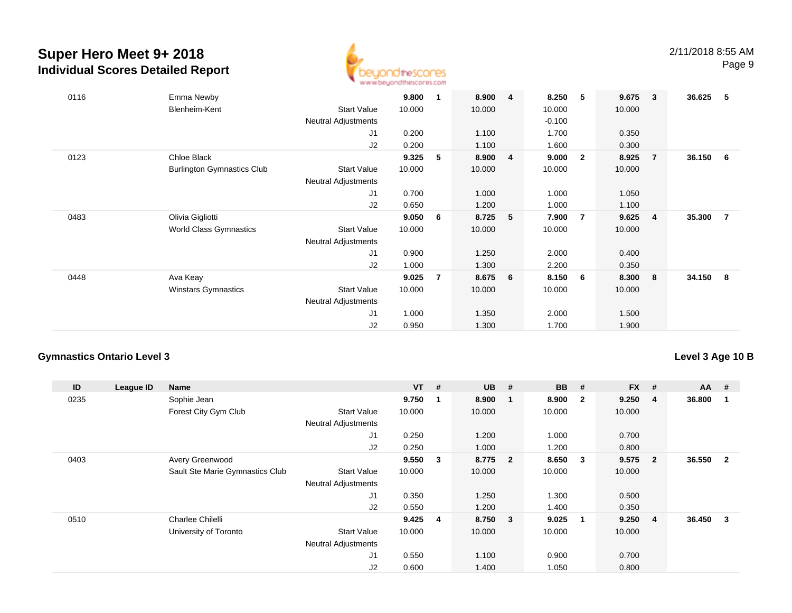

| 0116 | Emma Newby<br>Blenheim-Kent                      | <b>Start Value</b><br><b>Neutral Adjustments</b><br>J <sub>1</sub><br>J2 | 9.800<br>10.000<br>0.200<br>0.200 | 1              | 8.900<br>10.000<br>1.100<br>1.100 | $\overline{4}$ | 8.250<br>10.000<br>$-0.100$<br>1.700<br>1.600 | -5                      | 9.675<br>10.000<br>0.350<br>0.300 | $\mathbf{3}$ | 36.625 | 5              |
|------|--------------------------------------------------|--------------------------------------------------------------------------|-----------------------------------|----------------|-----------------------------------|----------------|-----------------------------------------------|-------------------------|-----------------------------------|--------------|--------|----------------|
| 0123 | Chloe Black<br><b>Burlington Gymnastics Club</b> | <b>Start Value</b><br>Neutral Adjustments<br>J <sub>1</sub><br>J2        | 9.325<br>10.000<br>0.700<br>0.650 | 5              | 8.900<br>10.000<br>1.000<br>1.200 | $\overline{4}$ | 9.000<br>10.000<br>1.000<br>1.000             | $\overline{\mathbf{2}}$ | 8.925<br>10.000<br>1.050<br>1.100 | 7            | 36.150 | 6              |
| 0483 | Olivia Gigliotti<br>World Class Gymnastics       | <b>Start Value</b><br><b>Neutral Adjustments</b><br>J <sub>1</sub><br>J2 | 9.050<br>10.000<br>0.900<br>1.000 | 6              | 8.725<br>10.000<br>1.250<br>1.300 | 5              | 7.900<br>10.000<br>2.000<br>2.200             | $\overline{7}$          | 9.625<br>10.000<br>0.400<br>0.350 | -4           | 35.300 | $\overline{7}$ |
| 0448 | Ava Keay<br><b>Winstars Gymnastics</b>           | <b>Start Value</b><br><b>Neutral Adjustments</b><br>J <sub>1</sub><br>J2 | 9.025<br>10.000<br>1.000<br>0.950 | $\overline{7}$ | 8.675<br>10.000<br>1.350<br>1.300 | 6              | 8.150<br>10.000<br>2.000<br>1.700             | 6                       | 8.300<br>10.000<br>1.500<br>1.900 | - 8          | 34.150 | 8              |

### **Gymnastics Ontario Level 3**

### **Level 3 Age 10 B**

| ID   | League ID | Name                            |                            | <b>VT</b> | #                       | <b>UB</b> | #                       | <b>BB</b> | #              | $FX$ # |                | $AA$ # |              |
|------|-----------|---------------------------------|----------------------------|-----------|-------------------------|-----------|-------------------------|-----------|----------------|--------|----------------|--------|--------------|
| 0235 |           | Sophie Jean                     |                            | 9.750     |                         | 8.900     | - 1                     | 8.900     | $\overline{2}$ | 9.250  | 4              | 36.800 |              |
|      |           | Forest City Gym Club            | <b>Start Value</b>         | 10.000    |                         | 10.000    |                         | 10.000    |                | 10.000 |                |        |              |
|      |           |                                 | <b>Neutral Adjustments</b> |           |                         |           |                         |           |                |        |                |        |              |
|      |           |                                 | J1                         | 0.250     |                         | 1.200     |                         | 1.000     |                | 0.700  |                |        |              |
|      |           |                                 | J2                         | 0.250     |                         | 1.000     |                         | 1.200     |                | 0.800  |                |        |              |
| 0403 |           | Avery Greenwood                 |                            | 9.550     | $\overline{\mathbf{3}}$ | 8.775     | $\overline{\mathbf{2}}$ | 8.650     | 3              | 9.575  | $\mathbf{2}$   | 36.550 | $\mathbf{2}$ |
|      |           | Sault Ste Marie Gymnastics Club | <b>Start Value</b>         | 10.000    |                         | 10.000    |                         | 10.000    |                | 10.000 |                |        |              |
|      |           |                                 | <b>Neutral Adjustments</b> |           |                         |           |                         |           |                |        |                |        |              |
|      |           |                                 | J1                         | 0.350     |                         | 1.250     |                         | 1.300     |                | 0.500  |                |        |              |
|      |           |                                 | J2                         | 0.550     |                         | 1.200     |                         | 1.400     |                | 0.350  |                |        |              |
| 0510 |           | Charlee Chilelli                |                            | 9.425     | 4                       | 8.750     | $\overline{\mathbf{3}}$ | 9.025     | -1             | 9.250  | $\overline{4}$ | 36.450 | 3            |
|      |           | University of Toronto           | <b>Start Value</b>         | 10.000    |                         | 10.000    |                         | 10.000    |                | 10.000 |                |        |              |
|      |           |                                 | <b>Neutral Adjustments</b> |           |                         |           |                         |           |                |        |                |        |              |
|      |           |                                 | J1                         | 0.550     |                         | 1.100     |                         | 0.900     |                | 0.700  |                |        |              |
|      |           |                                 | J2                         | 0.600     |                         | 1.400     |                         | 1.050     |                | 0.800  |                |        |              |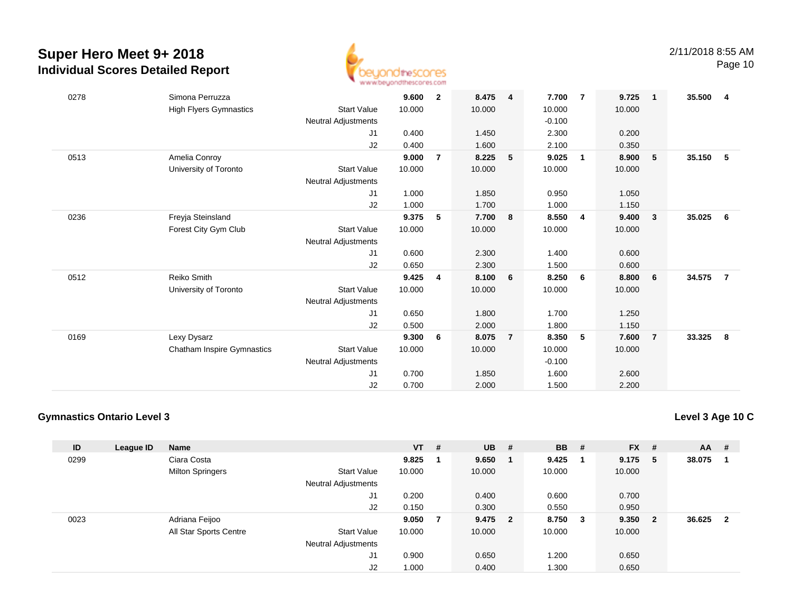

Page 10

| 0278 | Simona Perruzza                   |                            | 9.600  | $\overline{2}$ | 8.475  | $\overline{\mathbf{4}}$ | 7.700    | $\overline{7}$ | 9.725  | $\overline{\mathbf{1}}$ | 35.500 | -4             |
|------|-----------------------------------|----------------------------|--------|----------------|--------|-------------------------|----------|----------------|--------|-------------------------|--------|----------------|
|      | <b>High Flyers Gymnastics</b>     | <b>Start Value</b>         | 10.000 |                | 10.000 |                         | 10.000   |                | 10.000 |                         |        |                |
|      |                                   | Neutral Adjustments        |        |                |        |                         | $-0.100$ |                |        |                         |        |                |
|      |                                   | J1                         | 0.400  |                | 1.450  |                         | 2.300    |                | 0.200  |                         |        |                |
|      |                                   | J2                         | 0.400  |                | 1.600  |                         | 2.100    |                | 0.350  |                         |        |                |
| 0513 | Amelia Conroy                     |                            | 9.000  | $\overline{7}$ | 8.225  | 5                       | 9.025    | $\overline{1}$ | 8.900  | 5                       | 35.150 | - 5            |
|      | University of Toronto             | <b>Start Value</b>         | 10.000 |                | 10.000 |                         | 10.000   |                | 10.000 |                         |        |                |
|      |                                   | Neutral Adjustments        |        |                |        |                         |          |                |        |                         |        |                |
|      |                                   | J1                         | 1.000  |                | 1.850  |                         | 0.950    |                | 1.050  |                         |        |                |
|      |                                   | J2                         | 1.000  |                | 1.700  |                         | 1.000    |                | 1.150  |                         |        |                |
| 0236 | Freyja Steinsland                 |                            | 9.375  | 5              | 7.700  | 8                       | 8.550    | $\overline{4}$ | 9.400  | $\overline{\mathbf{3}}$ | 35.025 | - 6            |
|      | Forest City Gym Club              | <b>Start Value</b>         | 10.000 |                | 10.000 |                         | 10.000   |                | 10.000 |                         |        |                |
|      |                                   | Neutral Adjustments        |        |                |        |                         |          |                |        |                         |        |                |
|      |                                   | J1                         | 0.600  |                | 2.300  |                         | 1.400    |                | 0.600  |                         |        |                |
|      |                                   | J2                         | 0.650  |                | 2.300  |                         | 1.500    |                | 0.600  |                         |        |                |
| 0512 | Reiko Smith                       |                            | 9.425  | 4              | 8.100  | 6                       | 8.250    | - 6            | 8.800  | 6                       | 34.575 | $\overline{7}$ |
|      | University of Toronto             | <b>Start Value</b>         | 10.000 |                | 10.000 |                         | 10.000   |                | 10.000 |                         |        |                |
|      |                                   | Neutral Adjustments        |        |                |        |                         |          |                |        |                         |        |                |
|      |                                   | J1                         | 0.650  |                | 1.800  |                         | 1.700    |                | 1.250  |                         |        |                |
|      |                                   | J2                         | 0.500  |                | 2.000  |                         | 1.800    |                | 1.150  |                         |        |                |
| 0169 | Lexy Dysarz                       |                            | 9.300  | 6              | 8.075  | $\overline{7}$          | 8.350    | 5              | 7.600  | $\overline{7}$          | 33.325 | - 8            |
|      | <b>Chatham Inspire Gymnastics</b> | <b>Start Value</b>         | 10.000 |                | 10.000 |                         | 10.000   |                | 10.000 |                         |        |                |
|      |                                   | <b>Neutral Adjustments</b> |        |                |        |                         | $-0.100$ |                |        |                         |        |                |
|      |                                   | J1                         | 0.700  |                | 1.850  |                         | 1.600    |                | 2.600  |                         |        |                |
|      |                                   | J2                         | 0.700  |                | 2.000  |                         | 1.500    |                | 2.200  |                         |        |                |

### **Gymnastics Ontario Level 3**

**Level 3 Age 10 C**

| ID   | League ID | <b>Name</b>             |                            | $VT$ # |                | <b>UB</b> | - # | <b>BB</b> | #   | <b>FX</b> | #              | $AA$ # |                         |
|------|-----------|-------------------------|----------------------------|--------|----------------|-----------|-----|-----------|-----|-----------|----------------|--------|-------------------------|
| 0299 |           | Ciara Costa             |                            | 9.825  |                | 9.650     |     | 9.425     | -1  | 9.175     | 5              | 38.075 |                         |
|      |           | <b>Milton Springers</b> | <b>Start Value</b>         | 10.000 |                | 10.000    |     | 10.000    |     | 10.000    |                |        |                         |
|      |           |                         | <b>Neutral Adjustments</b> |        |                |           |     |           |     |           |                |        |                         |
|      |           |                         | J1                         | 0.200  |                | 0.400     |     | 0.600     |     | 0.700     |                |        |                         |
|      |           |                         | J2                         | 0.150  |                | 0.300     |     | 0.550     |     | 0.950     |                |        |                         |
| 0023 |           | Adriana Feijoo          |                            | 9.050  | $\overline{7}$ | 9.475 2   |     | 8.750     | - 3 | 9.350     | $\overline{2}$ | 36.625 | $\overline{\mathbf{2}}$ |
|      |           | All Star Sports Centre  | <b>Start Value</b>         | 10.000 |                | 10.000    |     | 10.000    |     | 10.000    |                |        |                         |
|      |           |                         | <b>Neutral Adjustments</b> |        |                |           |     |           |     |           |                |        |                         |
|      |           |                         | J <sub>1</sub>             | 0.900  |                | 0.650     |     | 1.200     |     | 0.650     |                |        |                         |
|      |           |                         | J2                         | 1.000  |                | 0.400     |     | 1.300     |     | 0.650     |                |        |                         |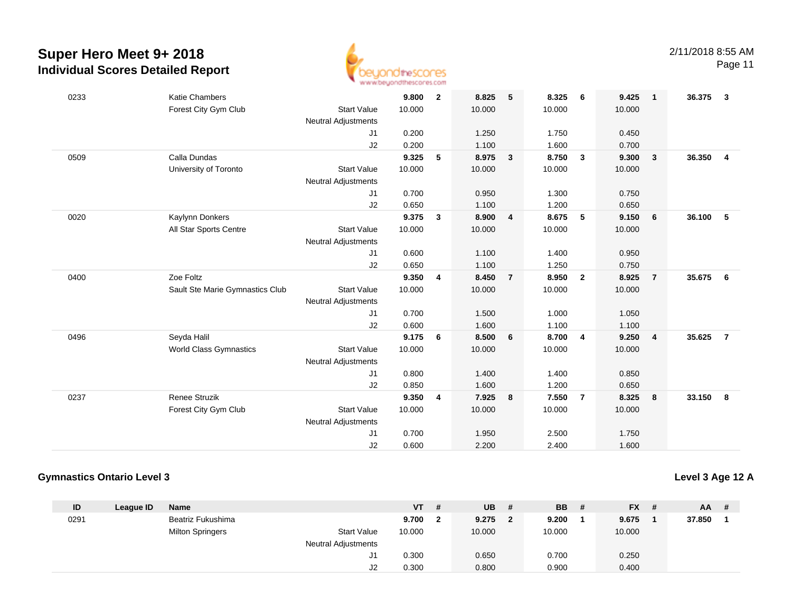

Page 11

| 0233 | <b>Katie Chambers</b>           |                            | 9.800  | $\overline{2}$ | 8.825  | 5                       | 8.325  | - 6                     | 9.425  | $\overline{1}$          | 36.375 | 3              |
|------|---------------------------------|----------------------------|--------|----------------|--------|-------------------------|--------|-------------------------|--------|-------------------------|--------|----------------|
|      | Forest City Gym Club            | <b>Start Value</b>         | 10.000 |                | 10.000 |                         | 10.000 |                         | 10.000 |                         |        |                |
|      |                                 | <b>Neutral Adjustments</b> |        |                |        |                         |        |                         |        |                         |        |                |
|      |                                 | J1                         | 0.200  |                | 1.250  |                         | 1.750  |                         | 0.450  |                         |        |                |
|      |                                 | J2                         | 0.200  |                | 1.100  |                         | 1.600  |                         | 0.700  |                         |        |                |
| 0509 | Calla Dundas                    |                            | 9.325  | 5              | 8.975  | $\overline{3}$          | 8.750  | $\mathbf{3}$            | 9.300  | $\overline{\mathbf{3}}$ | 36.350 | $\overline{4}$ |
|      | University of Toronto           | <b>Start Value</b>         | 10.000 |                | 10.000 |                         | 10.000 |                         | 10.000 |                         |        |                |
|      |                                 | <b>Neutral Adjustments</b> |        |                |        |                         |        |                         |        |                         |        |                |
|      |                                 | J1                         | 0.700  |                | 0.950  |                         | 1.300  |                         | 0.750  |                         |        |                |
|      |                                 | J2                         | 0.650  |                | 1.100  |                         | 1.200  |                         | 0.650  |                         |        |                |
| 0020 | Kaylynn Donkers                 |                            | 9.375  | $\mathbf{3}$   | 8.900  | $\overline{4}$          | 8.675  | 5                       | 9.150  | 6                       | 36.100 | 5              |
|      | All Star Sports Centre          | <b>Start Value</b>         | 10.000 |                | 10.000 |                         | 10.000 |                         | 10.000 |                         |        |                |
|      |                                 | Neutral Adjustments        |        |                |        |                         |        |                         |        |                         |        |                |
|      |                                 | J1                         | 0.600  |                | 1.100  |                         | 1.400  |                         | 0.950  |                         |        |                |
|      |                                 | J2                         | 0.650  |                | 1.100  |                         | 1.250  |                         | 0.750  |                         |        |                |
| 0400 | Zoe Foltz                       |                            | 9.350  | 4              | 8.450  | $\overline{7}$          | 8.950  | $\overline{\mathbf{2}}$ | 8.925  | $\overline{7}$          | 35.675 | 6              |
|      |                                 |                            |        |                | 10.000 |                         | 10.000 |                         | 10.000 |                         |        |                |
|      | Sault Ste Marie Gymnastics Club | <b>Start Value</b>         | 10.000 |                |        |                         |        |                         |        |                         |        |                |
|      |                                 | Neutral Adjustments        |        |                |        |                         |        |                         |        |                         |        |                |
|      |                                 | J1                         | 0.700  |                | 1.500  |                         | 1.000  |                         | 1.050  |                         |        |                |
|      |                                 | J2                         | 0.600  |                | 1.600  |                         | 1.100  |                         | 1.100  |                         |        |                |
| 0496 | Seyda Halil                     |                            | 9.175  | 6              | 8.500  | 6                       | 8.700  | 4                       | 9.250  | $\overline{4}$          | 35.625 | $\overline{7}$ |
|      | <b>World Class Gymnastics</b>   | <b>Start Value</b>         | 10.000 |                | 10.000 |                         | 10.000 |                         | 10.000 |                         |        |                |
|      |                                 | <b>Neutral Adjustments</b> |        |                |        |                         |        |                         |        |                         |        |                |
|      |                                 | J1                         | 0.800  |                | 1.400  |                         | 1.400  |                         | 0.850  |                         |        |                |
|      |                                 | J2                         | 0.850  |                | 1.600  |                         | 1.200  |                         | 0.650  |                         |        |                |
| 0237 | Renee Struzik                   |                            | 9.350  | 4              | 7.925  | $\overline{\mathbf{8}}$ | 7.550  | $\overline{7}$          | 8.325  | 8                       | 33.150 | 8              |
|      | Forest City Gym Club            | <b>Start Value</b>         | 10.000 |                | 10.000 |                         | 10.000 |                         | 10.000 |                         |        |                |
|      |                                 | <b>Neutral Adjustments</b> |        |                |        |                         |        |                         |        |                         |        |                |
|      |                                 | J1                         | 0.700  |                | 1.950  |                         | 2.500  |                         | 1.750  |                         |        |                |
|      |                                 | J2                         | 0.600  |                | 2.200  |                         | 2.400  |                         | 1.600  |                         |        |                |

### **Gymnastics Ontario Level 3**

**Level 3 Age 12 A**

| ID   | League ID | Name                    |                            | <b>VT</b> | #  | <b>UB</b> | # | <b>BB</b> | # | $FX$ # | <b>AA</b> | - # |
|------|-----------|-------------------------|----------------------------|-----------|----|-----------|---|-----------|---|--------|-----------|-----|
| 0291 |           | Beatriz Fukushima       |                            | 9.700     | -2 | 9.275     | 2 | 9.200     |   | 9.675  | 37.850    |     |
|      |           | <b>Milton Springers</b> | <b>Start Value</b>         | 10.000    |    | 10.000    |   | 10.000    |   | 10.000 |           |     |
|      |           |                         | <b>Neutral Adjustments</b> |           |    |           |   |           |   |        |           |     |
|      |           |                         | ا آب                       | 0.300     |    | 0.650     |   | 0.700     |   | 0.250  |           |     |
|      |           |                         | J2                         | 0.300     |    | 0.800     |   | 0.900     |   | 0.400  |           |     |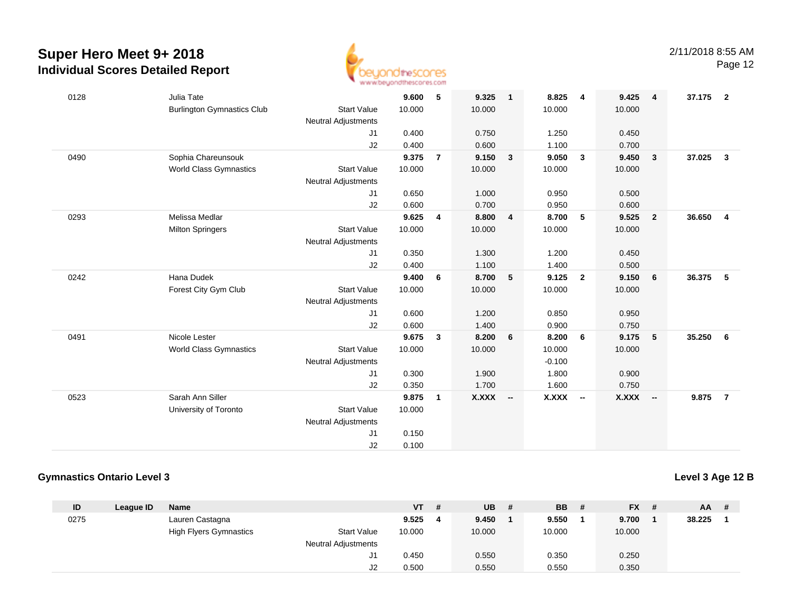

Page 12

| 0128 | Julia Tate                        |                            | 9.600  | 5              | 9.325    | $\mathbf{1}$   | 8.825    | 4              | 9.425        | $\overline{4}$          | 37.175 | $\overline{\mathbf{2}}$ |
|------|-----------------------------------|----------------------------|--------|----------------|----------|----------------|----------|----------------|--------------|-------------------------|--------|-------------------------|
|      | <b>Burlington Gymnastics Club</b> | <b>Start Value</b>         | 10.000 |                | 10.000   |                | 10.000   |                | 10.000       |                         |        |                         |
|      |                                   | <b>Neutral Adjustments</b> |        |                |          |                |          |                |              |                         |        |                         |
|      |                                   | J1                         | 0.400  |                | 0.750    |                | 1.250    |                | 0.450        |                         |        |                         |
|      |                                   | J2                         | 0.400  |                | 0.600    |                | 1.100    |                | 0.700        |                         |        |                         |
| 0490 | Sophia Chareunsouk                |                            | 9.375  | $\overline{7}$ | 9.150    | $\overline{3}$ | 9.050    | $\mathbf{3}$   | 9.450        | $\mathbf{3}$            | 37.025 | $\mathbf{3}$            |
|      | <b>World Class Gymnastics</b>     | <b>Start Value</b>         | 10.000 |                | 10.000   |                | 10.000   |                | 10.000       |                         |        |                         |
|      |                                   | <b>Neutral Adjustments</b> |        |                |          |                |          |                |              |                         |        |                         |
|      |                                   | J1                         | 0.650  |                | 1.000    |                | 0.950    |                | 0.500        |                         |        |                         |
|      |                                   | J2                         | 0.600  |                | 0.700    |                | 0.950    |                | 0.600        |                         |        |                         |
| 0293 | Melissa Medlar                    |                            | 9.625  | 4              | 8.800    | $\overline{4}$ | 8.700    | 5              | 9.525        | $\overline{\mathbf{2}}$ | 36.650 | $\overline{4}$          |
|      | <b>Milton Springers</b>           | <b>Start Value</b>         | 10.000 |                | 10.000   |                | 10.000   |                | 10.000       |                         |        |                         |
|      |                                   | <b>Neutral Adjustments</b> |        |                |          |                |          |                |              |                         |        |                         |
|      |                                   | J1                         | 0.350  |                | 1.300    |                | 1.200    |                | 0.450        |                         |        |                         |
|      |                                   | J2                         | 0.400  |                | 1.100    |                | 1.400    |                | 0.500        |                         |        |                         |
| 0242 | Hana Dudek                        |                            | 9.400  | 6              | 8.700    | 5              | 9.125    | $\overline{2}$ | 9.150        | 6                       | 36.375 | - 5                     |
|      | Forest City Gym Club              | <b>Start Value</b>         | 10.000 |                | 10.000   |                | 10.000   |                | 10.000       |                         |        |                         |
|      |                                   | <b>Neutral Adjustments</b> |        |                |          |                |          |                |              |                         |        |                         |
|      |                                   | J1                         | 0.600  |                | 1.200    |                | 0.850    |                | 0.950        |                         |        |                         |
|      |                                   | J2                         | 0.600  |                | 1.400    |                | 0.900    |                | 0.750        |                         |        |                         |
| 0491 | Nicole Lester                     |                            | 9.675  | $\mathbf{3}$   | 8.200    | 6              | 8.200    | 6              | 9.175        | 5                       | 35.250 | 6                       |
|      | <b>World Class Gymnastics</b>     | <b>Start Value</b>         | 10.000 |                | 10.000   |                | 10.000   |                | 10.000       |                         |        |                         |
|      |                                   | <b>Neutral Adjustments</b> |        |                |          |                | $-0.100$ |                |              |                         |        |                         |
|      |                                   | J1                         | 0.300  |                | 1.900    |                | 1.800    |                | 0.900        |                         |        |                         |
|      |                                   | J2                         | 0.350  |                | 1.700    |                | 1.600    |                | 0.750        |                         |        |                         |
| 0523 | Sarah Ann Siller                  |                            | 9.875  | 1              | X.XXX -- |                | X.XXX    | $\sim$         | <b>X.XXX</b> | $-$                     | 9.875  | $\overline{7}$          |
|      | University of Toronto             | <b>Start Value</b>         | 10.000 |                |          |                |          |                |              |                         |        |                         |
|      |                                   | <b>Neutral Adjustments</b> |        |                |          |                |          |                |              |                         |        |                         |
|      |                                   | J1                         | 0.150  |                |          |                |          |                |              |                         |        |                         |
|      |                                   | J2                         | 0.100  |                |          |                |          |                |              |                         |        |                         |
|      |                                   |                            |        |                |          |                |          |                |              |                         |        |                         |

### **Gymnastics Ontario Level 3**

**Level 3 Age 12 B**

| ID   | League ID | <b>Name</b>                   |                            | <b>VT</b> | -# | <b>UB</b> | # | <b>BB</b> | # | $FX$ # | $AA$ # |  |
|------|-----------|-------------------------------|----------------------------|-----------|----|-----------|---|-----------|---|--------|--------|--|
| 0275 |           | Lauren Castagna               |                            | 9.525     | -4 | 9.450     |   | 9.550     |   | 9.700  | 38.225 |  |
|      |           | <b>High Flyers Gymnastics</b> | <b>Start Value</b>         | 10.000    |    | 10.000    |   | 10.000    |   | 10.000 |        |  |
|      |           |                               | <b>Neutral Adjustments</b> |           |    |           |   |           |   |        |        |  |
|      |           |                               | ال                         | 0.450     |    | 0.550     |   | 0.350     |   | 0.250  |        |  |
|      |           |                               | J2                         | 0.500     |    | 0.550     |   | 0.550     |   | 0.350  |        |  |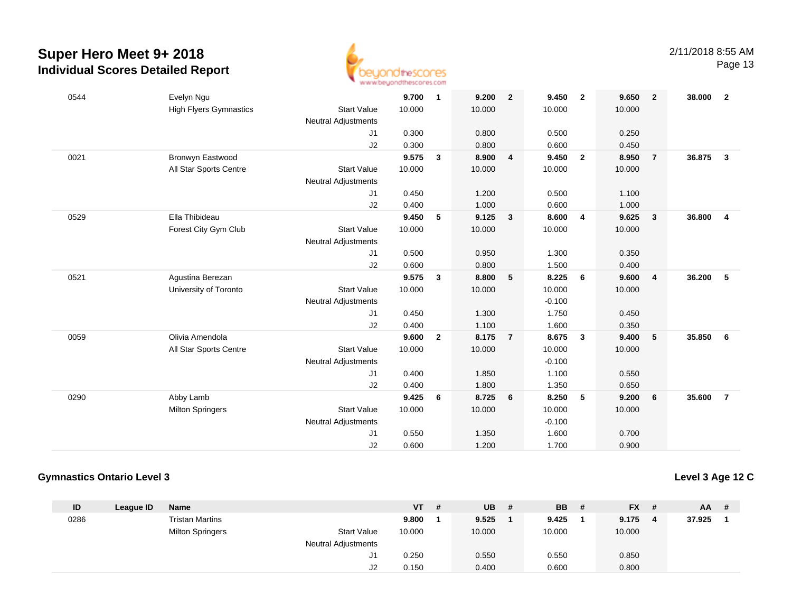

| 0544 | Evelyn Ngu                    |                            | 9.700  | $\mathbf{1}$ | 9.200  | $\overline{2}$ | 9.450    | $\overline{\mathbf{2}}$ | 9.650  | $\overline{2}$ | 38,000 | $\overline{2}$          |
|------|-------------------------------|----------------------------|--------|--------------|--------|----------------|----------|-------------------------|--------|----------------|--------|-------------------------|
|      | <b>High Flyers Gymnastics</b> | <b>Start Value</b>         | 10.000 |              | 10.000 |                | 10.000   |                         | 10.000 |                |        |                         |
|      |                               | <b>Neutral Adjustments</b> |        |              |        |                |          |                         |        |                |        |                         |
|      |                               | J1                         | 0.300  |              | 0.800  |                | 0.500    |                         | 0.250  |                |        |                         |
|      |                               | J2                         | 0.300  |              | 0.800  |                | 0.600    |                         | 0.450  |                |        |                         |
| 0021 | Bronwyn Eastwood              |                            | 9.575  | 3            | 8.900  | 4              | 9.450    | $\overline{2}$          | 8.950  | $\overline{7}$ | 36.875 | $\overline{\mathbf{3}}$ |
|      | All Star Sports Centre        | <b>Start Value</b>         | 10.000 |              | 10.000 |                | 10.000   |                         | 10.000 |                |        |                         |
|      |                               | <b>Neutral Adjustments</b> |        |              |        |                |          |                         |        |                |        |                         |
|      |                               | J1                         | 0.450  |              | 1.200  |                | 0.500    |                         | 1.100  |                |        |                         |
|      |                               | J2                         | 0.400  |              | 1.000  |                | 0.600    |                         | 1.000  |                |        |                         |
| 0529 | Ella Thibideau                |                            | 9.450  | 5            | 9.125  | $\mathbf{3}$   | 8.600    | $\overline{4}$          | 9.625  | $\mathbf{3}$   | 36.800 | $\overline{\mathbf{4}}$ |
|      | Forest City Gym Club          | <b>Start Value</b>         | 10.000 |              | 10.000 |                | 10.000   |                         | 10.000 |                |        |                         |
|      |                               | <b>Neutral Adjustments</b> |        |              |        |                |          |                         |        |                |        |                         |
|      |                               | J1                         | 0.500  |              | 0.950  |                | 1.300    |                         | 0.350  |                |        |                         |
|      |                               | J2                         | 0.600  |              | 0.800  |                | 1.500    |                         | 0.400  |                |        |                         |
| 0521 | Agustina Berezan              |                            | 9.575  | $\mathbf{3}$ | 8.800  | 5              | 8.225    | 6                       | 9.600  | $\overline{4}$ | 36.200 | 5                       |
|      | University of Toronto         | <b>Start Value</b>         | 10.000 |              | 10.000 |                | 10.000   |                         | 10.000 |                |        |                         |
|      |                               | <b>Neutral Adjustments</b> |        |              |        |                | $-0.100$ |                         |        |                |        |                         |
|      |                               | J1                         | 0.450  |              | 1.300  |                | 1.750    |                         | 0.450  |                |        |                         |
|      |                               | J2                         | 0.400  |              | 1.100  |                | 1.600    |                         | 0.350  |                |        |                         |
| 0059 | Olivia Amendola               |                            | 9.600  | $\mathbf{2}$ | 8.175  | $\overline{7}$ | 8.675    | $\mathbf{3}$            | 9.400  | 5              | 35.850 | 6                       |
|      | All Star Sports Centre        | <b>Start Value</b>         | 10.000 |              | 10.000 |                | 10.000   |                         | 10.000 |                |        |                         |
|      |                               | <b>Neutral Adjustments</b> |        |              |        |                | $-0.100$ |                         |        |                |        |                         |
|      |                               | J1                         | 0.400  |              | 1.850  |                | 1.100    |                         | 0.550  |                |        |                         |
|      |                               | J2                         | 0.400  |              | 1.800  |                | 1.350    |                         | 0.650  |                |        |                         |
| 0290 | Abby Lamb                     |                            | 9.425  | 6            | 8.725  | 6              | 8.250    | 5                       | 9.200  | 6              | 35.600 | $\overline{7}$          |
|      | <b>Milton Springers</b>       | <b>Start Value</b>         | 10.000 |              | 10.000 |                | 10.000   |                         | 10.000 |                |        |                         |
|      |                               | <b>Neutral Adjustments</b> |        |              |        |                | $-0.100$ |                         |        |                |        |                         |
|      |                               | J1                         | 0.550  |              | 1.350  |                | 1.600    |                         | 0.700  |                |        |                         |
|      |                               | J2                         | 0.600  |              | 1.200  |                | 1.700    |                         | 0.900  |                |        |                         |
|      |                               |                            |        |              |        |                |          |                         |        |                |        |                         |

### **Gymnastics Ontario Level 3**

**Level 3 Age 12 C**

| ID   | League ID | Name                    |                            | <b>VT</b> | # | <b>UB</b> | # | <b>BB</b> | FX #   | $AA$ # |  |
|------|-----------|-------------------------|----------------------------|-----------|---|-----------|---|-----------|--------|--------|--|
| 0286 |           | <b>Tristan Martins</b>  |                            | 9.800     |   | 9.525     |   | 9.425     | 9.175  | 37.925 |  |
|      |           | <b>Milton Springers</b> | <b>Start Value</b>         | 10.000    |   | 10.000    |   | 10.000    | 10.000 |        |  |
|      |           |                         | <b>Neutral Adjustments</b> |           |   |           |   |           |        |        |  |
|      |           |                         | J1                         | 0.250     |   | 0.550     |   | 0.550     | 0.850  |        |  |
|      |           |                         | J2                         | 0.150     |   | 0.400     |   | 0.600     | 0.800  |        |  |